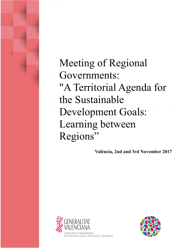Meeting of Regional Governments: "A Territorial Agenda for the Sustainable Development Goals: Learning between Regions"

**València, 2nd and 3rd November 2017**



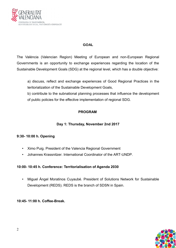

### **GOAL**

The València (Valencian Region) Meeting of European and non-European Regional Governments is an opportunity to exchange experiences regarding the location of the Sustainable Development Goals (SDG) at the regional level, which has a double objective:

a) discuss, reflect and exchange experiences of Good Regional Practices in the teritorialization of the Sustainable Development Goals,

b) contribute to the subnational planning processes that influence the development of public policies for the effective implementation of regional SDG.

## **PROGRAM**

## **Day 1: Thursday, November 2nd 2017**

## **9:30- 10:00 h. Opening**

- Ximo Puig. President of the Valencia Regional Government
- Johannes Krassnitzer. International Coordinator of the ART-UNDP.

### **10:00- 10:45 h. Conference: Territorialisation of Agenda 2030**

• Miguel Ángel Moratinos Cuyaubé. President of Solutions Network for Sustainable Development (REDS). REDS is the branch of SDSN in Spain.

**10:45- 11:00 h. Coffee-Break.**

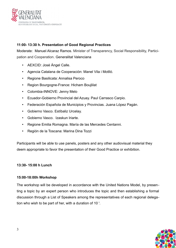

## **11:00- 13:30 h. Presentation of Good Regional Practices**

Moderate: Manuel Alcaraz Ramos. Minister of Transparency, Social Responsibility, Participation and Cooperation. Generalitat Valenciana

- AEXCID: José Ángel Calle.
- Agencia Catalana de Cooperación: Manel Vila i Motlló.
- Regione Basilicata: Annalisa Peroco
- Region Bourgogne-France: Hicham Boujlilat
- Colombia-INNOVE: Jenny Melo
- Ecuador-Gobierno Provincial del Azuay. Paul Carrasco Carpio.
- Federación Española de Municipios y Provincias. Juana López Pagán.
- Gobierno Vasco. Estíbaliz Urcelay.
- Gobierno Vasco. Izaskun Iriarte.
- Regione Emilia Romagna. María de las Mercedes Centanni.
- Región de la Toscana: Marina Dina Tozzi

Participants will be able to use panels, posters and any other audiovisual material they deem appropriate to favor the presentation of their Good Practice or exhibition.

### **13:30- 15:00 h Lunch**

### **15:00-18:00h Workshop**

The workshop will be developed in accordance with the United Nations Model, by presenting a topic by an expert person who introduces the topic and then establishing a formal discussion through a List of Speakers among the representatives of each regional delegation who wish to be part of her, with a duration of 10 '.

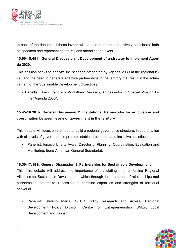

In each of the debates all those invited will be able to attend and actively participate both as speakers and representing the regions attending the event.

## **15:00-15:45 h. General Discussion 1. Development of a strategy to implement Agenda 2030.**

This session seeks to analyze the scenario presented by Agenda 2030 at the regional level, and the need to generate effective partnerships in the territory that result in the achievement of the Sustainable Development Objectives.

• Panellist: Juan Francisco Montalbán Carrasco, Ambassador in Special Mission for the "Agenda 2030".

# **15:45-16:30 h. General Discussion 2. Institutional frameworks for articulation and coordination between levels of government in the territory**

This debate will focus on the need to build a regional governance structure, in coordination with all levels of government to promote stable, prosperous and inclusive societies.

• Panellist: Ignacio Uriarte Ayala. Director of Planning, Coordination, Evaluation and Monitoring. Ibero-American General Secretariat.

### **16:30-17:15 h. General Discussion 3. Partnerships for Sustainable Development**

This third debate will address the importance of articulating and reinforcing Regional Alliances for Sustainable Development, which through the promotion of relationships and partnerships that make it possible to combine capacities and strengths of territorial networks.

• Panellist: Stefano Marta. OECD Policy Research and Advise. Regional Development Policy Division. Centre for Entrepreneurship, SMEs, Local Development and Tourism.

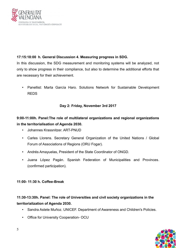

## **17:15:18:00 h. General Discussion 4. Measuring progress in SDG.**

In this discussion, the SDG measurement and monitoring systems will be analyzed, not only to show progress in their compliance, but also to determine the additional efforts that are necessary for their achievement.

• Panellist: Marta García Haro. Solutions Network for Sustainable Development REDS

## **Day 2: Friday, November 3rd 2017**

## **9:00-11:00h. Panel:The role of multilateral organizations and regional organizations in the territorialisation of Agenda 2030.**

- Johannes Krassnitzer. ART-PNUD
- Carles Llorens. Secretary General Organization of the United Nations / Global Forum of Associations of Regions (ORU Fogar).
- Andrés Amayuelas, President of the State Coordinator of ONGD.
- Juana López Pagán. Spanish Federation of Municipalities and Provinces. (confirmed participation).

### **11:00- 11:30 h. Coffee-Break**

## **11:30-13:30h. Panel: The role of Universities and civil society organizations in the territorialization of Agenda 2030.**

- Sandra Astete Muñoz. UNICEF. Department of Awareness and Children's Policies.
- Office for University Cooperation- OCU

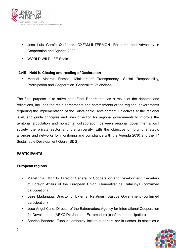

- José Luis García Quiñones. OXFAM-INTERMON. Research and Advocacy in Cooperation and Agenda 2030.
- WORLD WILDLIFE Spain

### **13:45- 14:00 h. Closing and reading of Declaration**

• Manuel Alcaraz Ramos. Minister of Transparency, Social Responsibility, Participation and Cooperation. Generalitat Valenciana

The final purpose is to arrive at a Final Report that, as a result of the debates and reflections, includes the main agreements and commitments of the regional governments regarding the implementation of the Sustainable Development Objectives at the regional level, and guide principles and lines of action for regional governments to improve the territorial articulation and horizontal collaboration between regional governments, civil society, the private sector and the university, with the objective of forging strategic alliances and networks for monitoring and compliance with the Agenda 2030 and the 17 Sustainable Development Goals (SDG)

### **PARTICIPANTS**

### **European regions**

- Manel Vila i Montlló. Director General of Cooperation and Development. Secretary of Foreign Affairs of the European Union. Generalitat de Catalunya (confirmed participation)
- Leire Madariaga. Director of External Relations. Basque Government (confirmed participation)
- José Ángel Calle. Director of the Extremadura Agency for International Cooperation for Development (AEXCID). Junta de Extremadura (confirmed participation)
- Sabrina Bandera. Éupolis Lombardy. Istituto superiore per la ricerca, la statistica e

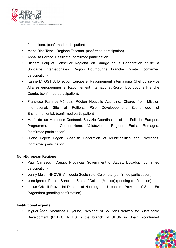

formazione. (confirmed participation)

- Maria Dina Tozzi . Regione Toscana. (confirmed participation)
- Annalisa Peroco Basilicata.(confirmed participation)
- Hicham Boujlilat Conseiller Régional en Charge de la Coopération et de la Solidarité Internationales. Region Bourgougne Franche Comté. (confirmed participation)
- Karine L'HOSTIS**.** Direction Europe et Rayonnement international.Chef du service Affaires européennes et Rayonnement international.Region Bourgougne Franche Comté. (confirmed participation).
- Francisco Ramirez-Méndez. Région Nouvelle Aquitaine. Chargé from Mission International. Site of Poitiers. Pôle Développement Économique et Environnemental. (confirmed participation)
- María de las Mercedes Centanni. Servizio Coordination of the Politiche Europee, Programmazione, Cooperazione, Valutazione. Regione Emilia Romagna. (confirmed participation)
- Juana López Pagán. Spanish Federation of Municipalities and Provinces. (confirmed participation)

## **Non-European Regions**

- Paúl Carrasco Carpio. Provincial Government of Azuay. Ecuador. (confirmed participation)
- Jenny Melo. INNOVE- Antioquia Sostenible. Colombia (confirmed participation)
- José Ignacio Peralta Sánchez. State of Colima (Mexico) (pending confirmation)
- Lucas Crivelli Provincial Director of Housing and Urbanism. Province of Santa Fe (Argentina) (pending confirmation)

## **Institutional experts**

• Miguel Ángel Moratinos Cuyaubé, President of Solutions Network for Sustainable Development (REDS). REDS is the branch of SDSN in Spain. (confirmed